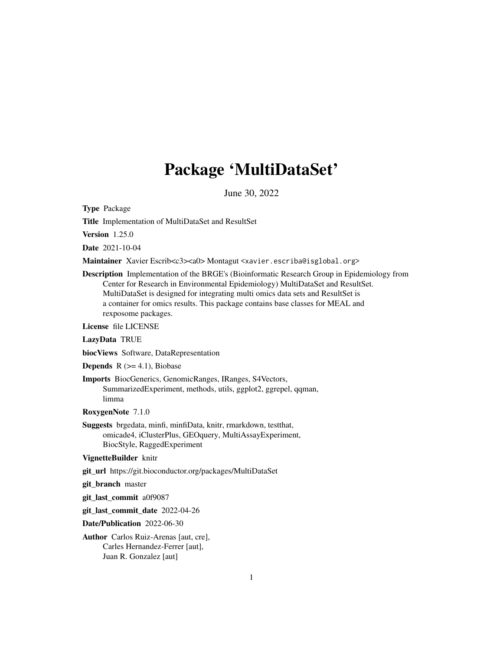# Package 'MultiDataSet'

June 30, 2022

<span id="page-0-0"></span>Type Package

Title Implementation of MultiDataSet and ResultSet

Version 1.25.0

Date 2021-10-04

Maintainer Xavier Escrib<c3><a0>Montagut <xavier.escriba@isglobal.org>

Description Implementation of the BRGE's (Bioinformatic Research Group in Epidemiology from Center for Research in Environmental Epidemiology) MultiDataSet and ResultSet. MultiDataSet is designed for integrating multi omics data sets and ResultSet is a container for omics results. This package contains base classes for MEAL and rexposome packages.

License file LICENSE

LazyData TRUE

biocViews Software, DataRepresentation

**Depends**  $R$  ( $>= 4.1$ ), Biobase

Imports BiocGenerics, GenomicRanges, IRanges, S4Vectors, SummarizedExperiment, methods, utils, ggplot2, ggrepel, qqman, limma

RoxygenNote 7.1.0

Suggests brgedata, minfi, minfiData, knitr, rmarkdown, testthat, omicade4, iClusterPlus, GEOquery, MultiAssayExperiment, BiocStyle, RaggedExperiment

VignetteBuilder knitr

git\_url https://git.bioconductor.org/packages/MultiDataSet

git\_branch master

git\_last\_commit a0f9087

git\_last\_commit\_date 2022-04-26

Date/Publication 2022-06-30

Author Carlos Ruiz-Arenas [aut, cre], Carles Hernandez-Ferrer [aut], Juan R. Gonzalez [aut]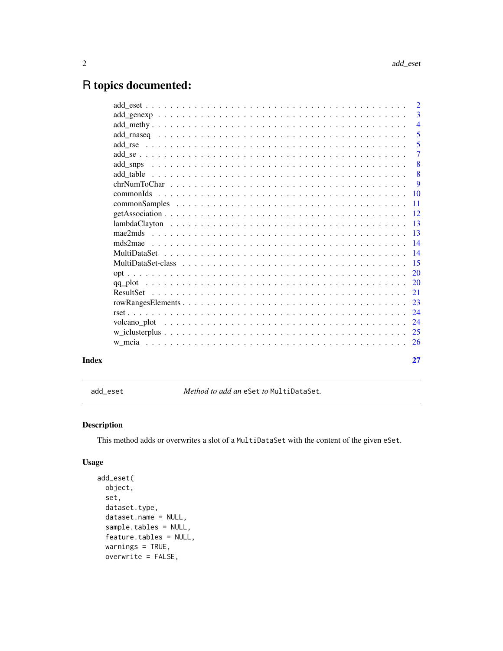# <span id="page-1-0"></span>R topics documented:

|       | $\overline{2}$             |
|-------|----------------------------|
|       | 3                          |
|       | $\overline{4}$             |
|       | $\overline{\phantom{0}}$ 5 |
|       | 5                          |
|       | $\overline{7}$             |
|       | 8                          |
|       | 8                          |
|       | 9                          |
|       |                            |
|       | $-11$                      |
|       |                            |
|       |                            |
|       |                            |
|       |                            |
|       |                            |
|       |                            |
|       |                            |
|       |                            |
|       |                            |
|       |                            |
|       |                            |
|       |                            |
|       |                            |
|       |                            |
|       |                            |
| Index | 27                         |
|       |                            |

<span id="page-1-1"></span>add\_eset *Method to add an* eSet *to* MultiDataSet*.*

# Description

This method adds or overwrites a slot of a MultiDataSet with the content of the given eSet.

# Usage

```
add_eset(
 object,
 set,
 dataset.type,
 dataset.name = NULL,
  sample.tables = NULL,
  feature.tables = NULL,
 warnings = TRUE,
 overwrite = FALSE,
```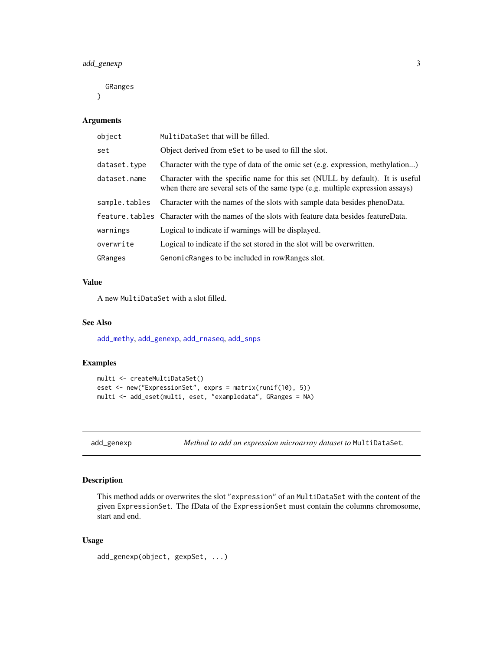<span id="page-2-0"></span>GRanges

 $\lambda$ 

# Arguments

| object        | MultiDataSet that will be filled.                                                                                                                               |
|---------------|-----------------------------------------------------------------------------------------------------------------------------------------------------------------|
| set           | Object derived from eSet to be used to fill the slot.                                                                                                           |
| dataset.tvpe  | Character with the type of data of the omic set (e.g. expression, methylation)                                                                                  |
| dataset.name  | Character with the specific name for this set (NULL by default). It is useful<br>when there are several sets of the same type (e.g. multiple expression assays) |
| sample.tables | Character with the names of the slots with sample data besides phenoData.                                                                                       |
|               | feature, tables Character with the names of the slots with feature data besides featureData.                                                                    |
| warnings      | Logical to indicate if warnings will be displayed.                                                                                                              |
| overwrite     | Logical to indicate if the set stored in the slot will be overwritten.                                                                                          |
| GRanges       | GenomicRanges to be included in rowRanges slot.                                                                                                                 |

# Value

A new MultiDataSet with a slot filled.

#### See Also

[add\\_methy](#page-3-1), [add\\_genexp](#page-2-1), [add\\_rnaseq](#page-4-1), [add\\_snps](#page-7-1)

# Examples

```
multi <- createMultiDataSet()
eset <- new("ExpressionSet", exprs = matrix(runif(10), 5))
multi <- add_eset(multi, eset, "exampledata", GRanges = NA)
```
<span id="page-2-1"></span>add\_genexp *Method to add an expression microarray dataset to* MultiDataSet*.*

# Description

This method adds or overwrites the slot "expression" of an MultiDataSet with the content of the given ExpressionSet. The fData of the ExpressionSet must contain the columns chromosome, start and end.

#### Usage

```
add_genexp(object, gexpSet, ...)
```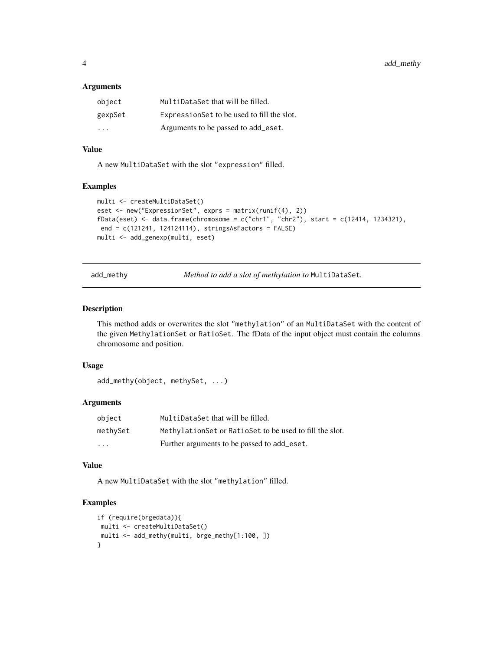#### <span id="page-3-0"></span>**Arguments**

| object  | MultiDataSet that will be filled.           |
|---------|---------------------------------------------|
| gexpSet | Expression Set to be used to fill the slot. |
| .       | Arguments to be passed to add_eset.         |

# Value

A new MultiDataSet with the slot "expression" filled.

#### Examples

```
multi <- createMultiDataSet()
eset <- new("ExpressionSet", exprs = matrix(runif(4), 2))
fData(eset) <- data.frame(chromosome = c("chr1", "chr2"), start = c(12414, 1234321),end = c(121241, 124124114), stringsAsFactors = FALSE)
multi <- add_genexp(multi, eset)
```
<span id="page-3-1"></span>add\_methy *Method to add a slot of methylation to* MultiDataSet*.*

#### Description

This method adds or overwrites the slot "methylation" of an MultiDataSet with the content of the given MethylationSet or RatioSet. The fData of the input object must contain the columns chromosome and position.

# Usage

```
add_methy(object, methySet, ...)
```
# Arguments

| object                  | MultiDataSet that will be filled.                         |
|-------------------------|-----------------------------------------------------------|
| methySet                | Methylation Set or Ratio Set to be used to fill the slot. |
| $\cdot$ $\cdot$ $\cdot$ | Further arguments to be passed to add eset.               |

# Value

A new MultiDataSet with the slot "methylation" filled.

```
if (require(brgedata)){
multi <- createMultiDataSet()
multi <- add_methy(multi, brge_methy[1:100, ])
}
```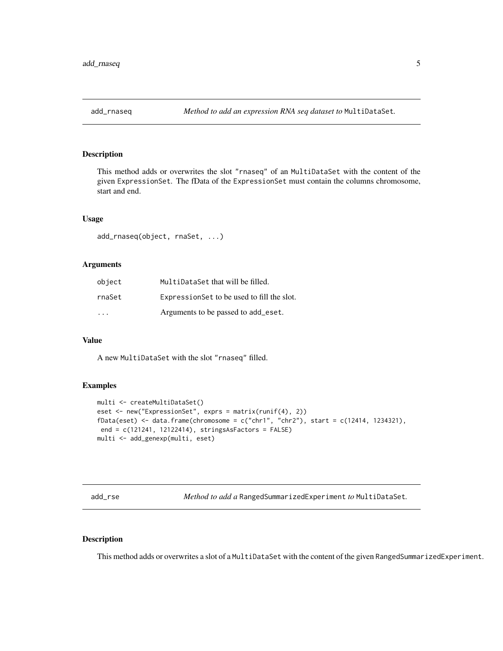<span id="page-4-1"></span><span id="page-4-0"></span>

This method adds or overwrites the slot "rnaseq" of an MultiDataSet with the content of the given ExpressionSet. The fData of the ExpressionSet must contain the columns chromosome, start and end.

#### Usage

add\_rnaseq(object, rnaSet, ...)

#### Arguments

| object | MultiDataSet that will be filled.           |
|--------|---------------------------------------------|
| rnaSet | Expression Set to be used to fill the slot. |
| .      | Arguments to be passed to add eset.         |

#### Value

A new MultiDataSet with the slot "rnaseq" filled.

#### Examples

```
multi <- createMultiDataSet()
eset <- new("ExpressionSet", exprs = matrix(runif(4), 2))
fData(eset) <- data.frame(chromosome = c("chr1", "chr2"), start = c(12414, 1234321),
 end = c(121241, 12122414), stringsAsFactors = FALSE)
multi <- add_genexp(multi, eset)
```
<span id="page-4-2"></span>add\_rse *Method to add a* RangedSummarizedExperiment *to* MultiDataSet*.*

# Description

This method adds or overwrites a slot of a MultiDataSet with the content of the given RangedSummarizedExperiment.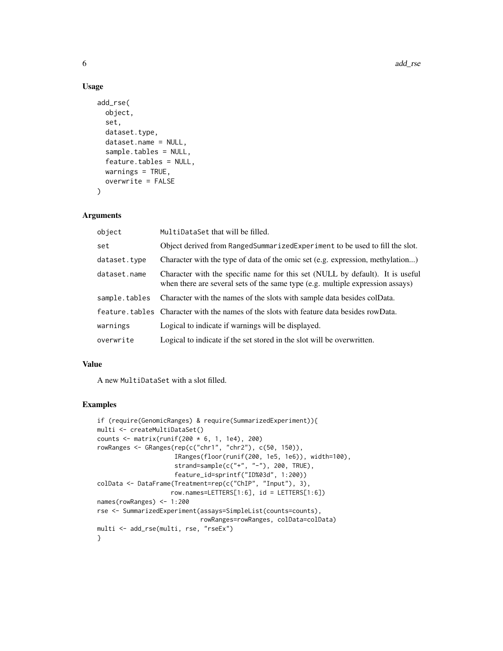## Usage

```
add_rse(
  object,
  set,
  dataset.type,
  dataset.name = NULL,
  sample.tables = NULL,
  feature.tables = NULL,
  warnings = TRUE,
 overwrite = FALSE
\lambda
```
#### Arguments

| object        | MultiDataSet that will be filled.                                                                                                                               |
|---------------|-----------------------------------------------------------------------------------------------------------------------------------------------------------------|
| set           | Object derived from RangedSummarizedExperiment to be used to fill the slot.                                                                                     |
| dataset.type  | Character with the type of data of the omic set (e.g. expression, methylation)                                                                                  |
| dataset.name  | Character with the specific name for this set (NULL by default). It is useful<br>when there are several sets of the same type (e.g. multiple expression assays) |
| sample.tables | Character with the names of the slots with sample data besides colData.                                                                                         |
|               | feature, tables Character with the names of the slots with feature data besides rowData.                                                                        |
| warnings      | Logical to indicate if warnings will be displayed.                                                                                                              |
| overwrite     | Logical to indicate if the set stored in the slot will be overwritten.                                                                                          |

#### Value

A new MultiDataSet with a slot filled.

```
if (require(GenomicRanges) & require(SummarizedExperiment)){
multi <- createMultiDataSet()
counts <- matrix(runif(200 * 6, 1, 1e4), 200)
rowRanges <- GRanges(rep(c("chr1", "chr2"), c(50, 150)),
                     IRanges(floor(runif(200, 1e5, 1e6)), width=100),
                     strand=sample(c("+", "-"), 200, TRUE),
                     feature_id=sprintf("ID%03d", 1:200))
colData <- DataFrame(Treatment=rep(c("ChIP", "Input"), 3),
                    row.names=LETTERS[1:6], id = LETTERS[1:6])
names(rowRanges) <- 1:200
rse <- SummarizedExperiment(assays=SimpleList(counts=counts),
                            rowRanges=rowRanges, colData=colData)
multi <- add_rse(multi, rse, "rseEx")
}
```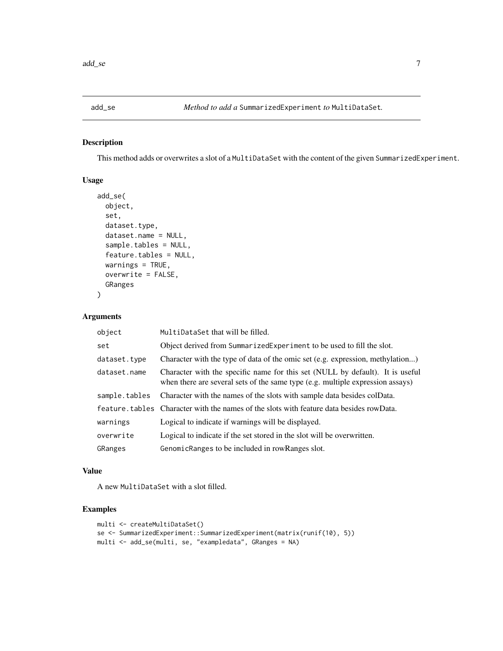<span id="page-6-0"></span>

This method adds or overwrites a slot of a MultiDataSet with the content of the given SummarizedExperiment.

# Usage

```
add_se(
 object,
  set,
  dataset.type,
  dataset.name = NULL,
  sample.tables = NULL,
  feature.tables = NULL,
  warnings = TRUE,
  overwrite = FALSE,
  GRanges
)
```
# Arguments

| object        | MultiDataSet that will be filled.                                                                                                                               |
|---------------|-----------------------------------------------------------------------------------------------------------------------------------------------------------------|
| set           | Object derived from Summarized Experiment to be used to fill the slot.                                                                                          |
| dataset.type  | Character with the type of data of the omic set (e.g. expression, methylation)                                                                                  |
| dataset.name  | Character with the specific name for this set (NULL by default). It is useful<br>when there are several sets of the same type (e.g. multiple expression assays) |
| sample.tables | Character with the names of the slots with sample data besides colData.                                                                                         |
|               | feature, tables Character with the names of the slots with feature data besides rowData.                                                                        |
| warnings      | Logical to indicate if warnings will be displayed.                                                                                                              |
| overwrite     | Logical to indicate if the set stored in the slot will be overwritten.                                                                                          |
| GRanges       | GenomicRanges to be included in rowRanges slot.                                                                                                                 |

#### Value

A new MultiDataSet with a slot filled.

```
multi <- createMultiDataSet()
se <- SummarizedExperiment::SummarizedExperiment(matrix(runif(10), 5))
multi <- add_se(multi, se, "exampledata", GRanges = NA)
```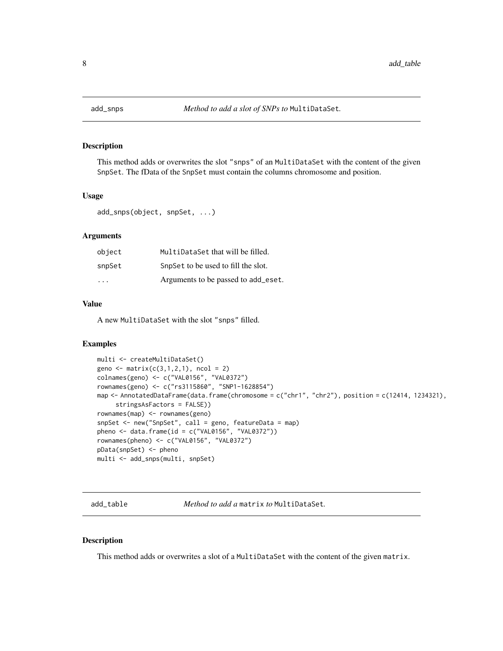<span id="page-7-1"></span><span id="page-7-0"></span>

This method adds or overwrites the slot "snps" of an MultiDataSet with the content of the given SnpSet. The fData of the SnpSet must contain the columns chromosome and position.

#### Usage

```
add_snps(object, snpSet, ...)
```
#### Arguments

| object | MultiDataSet that will be filled.   |
|--------|-------------------------------------|
| snpSet | SnpSet to be used to fill the slot. |
| .      | Arguments to be passed to add_eset. |

# Value

A new MultiDataSet with the slot "snps" filled.

# Examples

```
multi <- createMultiDataSet()
geno <- matrix(c(3,1,2,1), ncol = 2)colnames(geno) <- c("VAL0156", "VAL0372")
rownames(geno) <- c("rs3115860", "SNP1-1628854")
map <- AnnotatedDataFrame(data.frame(chromosome = c("chr1", "chr2"), position = c(12414, 1234321),
     stringsAsFactors = FALSE))
rownames(map) <- rownames(geno)
snpSet <- new("SnpSet", call = geno, featureData = map)
pheno <- data.frame(id = c("VAL0156", "VAL0372"))rownames(pheno) <- c("VAL0156", "VAL0372")
pData(snpSet) <- pheno
multi <- add_snps(multi, snpSet)
```
add\_table *Method to add a* matrix *to* MultiDataSet*.*

#### Description

This method adds or overwrites a slot of a MultiDataSet with the content of the given matrix.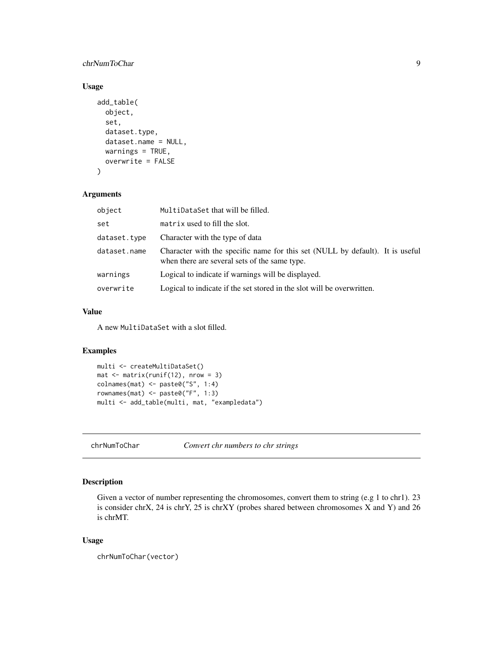# <span id="page-8-0"></span>chrNumToChar 9

# Usage

```
add_table(
  object,
  set,
  dataset.type,
  dataset.name = NULL,
  warnings = TRUE,overwrite = FALSE
)
```
#### Arguments

| object       | MultiDataSet that will be filled.                                                                                              |
|--------------|--------------------------------------------------------------------------------------------------------------------------------|
| set          | matrix used to fill the slot.                                                                                                  |
| dataset.type | Character with the type of data                                                                                                |
| dataset.name | Character with the specific name for this set (NULL by default). It is useful<br>when there are several sets of the same type. |
| warnings     | Logical to indicate if warnings will be displayed.                                                                             |
| overwrite    | Logical to indicate if the set stored in the slot will be overwritten.                                                         |

# Value

A new MultiDataSet with a slot filled.

# Examples

```
multi <- createMultiDataSet()
mat \leq matrix(runif(12), nrow = 3)
colnames(mat) <- paste0("S", 1:4)
rownames(mat) <- paste0("F", 1:3)
multi <- add_table(multi, mat, "exampledata")
```
chrNumToChar *Convert chr numbers to chr strings*

# Description

Given a vector of number representing the chromosomes, convert them to string (e.g 1 to chr1). 23 is consider chrX, 24 is chrY, 25 is chrXY (probes shared between chromosomes X and Y) and 26 is chrMT.

#### Usage

```
chrNumToChar(vector)
```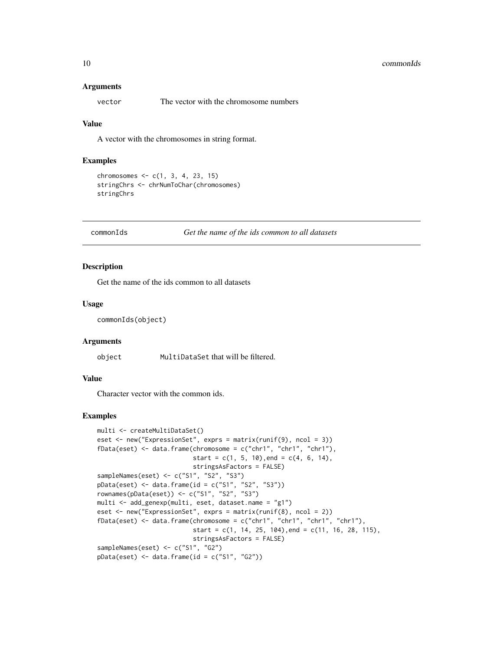#### <span id="page-9-0"></span>10 commonIds commonIds and the commonIds commonIds commonIds commonIds commonIds commonIds commonIds commonIds commonIds commonIds commonIds commonIds commonIds commonIds commonIds commonIds commonIds commonIds commonIds c

#### **Arguments**

vector The vector with the chromosome numbers

#### Value

A vector with the chromosomes in string format.

#### Examples

```
chromosomes <- c(1, 3, 4, 23, 15)
stringChrs <- chrNumToChar(chromosomes)
stringChrs
```
#### commonIds *Get the name of the ids common to all datasets*

# Description

Get the name of the ids common to all datasets

#### Usage

```
commonIds(object)
```
#### Arguments

object MultiDataSet that will be filtered.

#### Value

Character vector with the common ids.

```
multi <- createMultiDataSet()
eset <- new("ExpressionSet", exprs = matrix(runif(9), ncol = 3))
fData(eset) <- data.frame(chromosome = c("chr1", "chr1", "chr1"),
                          start = c(1, 5, 10), end = c(4, 6, 14),
                          stringsAsFactors = FALSE)
sampleNames(eset) <- c("S1", "S2", "S3")
pData(eset) <- data.frame(id = c("S1", "S2", "S3"))
rownames(pData(eset)) <- c("S1", "S2", "S3")
multi <- add_genexp(multi, eset, dataset.name = "g1")
eset <- new("ExpressionSet", exprs = matrix(runif(8), ncol = 2))
fData(eset) <- data.frame(chromosome = c("chr1", "chr1", "chr1", "chr1"),
                          start = c(1, 14, 25, 104), end = c(11, 16, 28, 115),
                          stringsAsFactors = FALSE)
sampleNames(eset) <- c("S1", "G2")
pData(eset) < - data frame(id = c("S1", "G2"))
```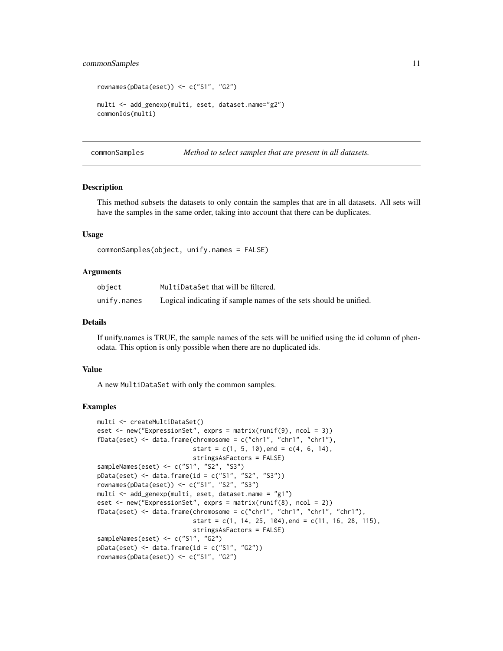#### <span id="page-10-0"></span>commonSamples 11

```
rownames(pData(eset)) <- c("S1", "G2")
multi <- add_genexp(multi, eset, dataset.name="g2")
commonIds(multi)
```
commonSamples *Method to select samples that are present in all datasets.*

#### **Description**

This method subsets the datasets to only contain the samples that are in all datasets. All sets will have the samples in the same order, taking into account that there can be duplicates.

#### Usage

```
commonSamples(object, unify.names = FALSE)
```
#### Arguments

| object      | MultiDataSet that will be filtered.                               |
|-------------|-------------------------------------------------------------------|
| unify.names | Logical indicating if sample names of the sets should be unified. |

#### Details

If unify.names is TRUE, the sample names of the sets will be unified using the id column of phenodata. This option is only possible when there are no duplicated ids.

#### Value

A new MultiDataSet with only the common samples.

```
multi <- createMultiDataSet()
eset <- new("ExpressionSet", exprs = matrix(runif(9), ncol = 3))
fData(eset) <- data.frame(chromosome = c("chr1", "chr1", "chr1"),
                          start = c(1, 5, 10), end = c(4, 6, 14),
                          stringsAsFactors = FALSE)
sampleNames(eset) <- c("S1", "S2", "S3")
pData(eset) <- data.frame(id = c("S1", "S2", "S3"))
rownames(pData(eset)) <- c("S1", "S2", "S3")
multi <- add_genexp(multi, eset, dataset.name = "g1")
eset <- new("ExpressionSet", exprs = matrix(runif(8), ncol = 2))
fData(eset) <- data.frame(chromosome = c("chr1", "chr1", "chr1", "chr1"),
                          start = c(1, 14, 25, 104), end = c(11, 16, 28, 115),
                          stringsAsFactors = FALSE)
sampleNames(eset) <- c("S1", "G2")
pData(eset) \leq data.frame(id = c("S1", "G2"))rownames(pData(eset)) <- c("S1", "G2")
```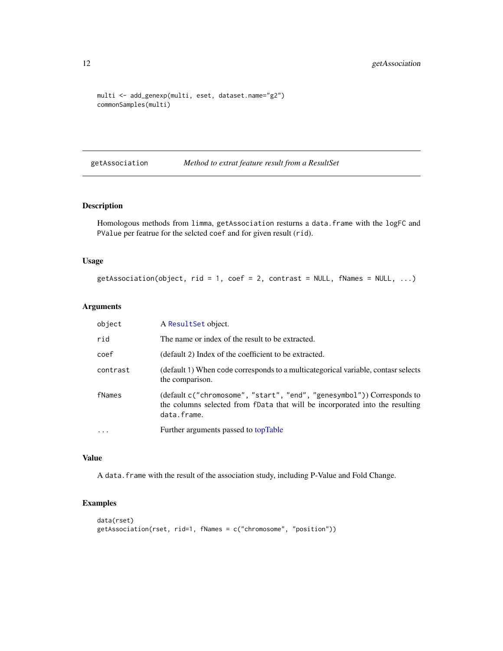```
multi <- add_genexp(multi, eset, dataset.name="g2")
commonSamples(multi)
```
getAssociation *Method to extrat feature result from a ResultSet*

# Description

Homologous methods from limma, getAssociation resturns a data.frame with the logFC and PValue per featrue for the selcted coef and for given result (rid).

#### Usage

```
getAssociation(object, rid = 1, coef = 2, contrast = NULL, fNames = NULL, ...)
```
#### Arguments

| object   | A ResultSet object.                                                                                                                                                   |
|----------|-----------------------------------------------------------------------------------------------------------------------------------------------------------------------|
| rid      | The name or index of the result to be extracted.                                                                                                                      |
| coef     | (default 2) Index of the coefficient to be extracted.                                                                                                                 |
| contrast | (default 1) When code corresponds to a multicate gorical variable, contast selects<br>the comparison.                                                                 |
| fNames   | (default c("chromosome", "start", "end", "genesymbol")) Corresponds to<br>the columns selected from fData that will be incorporated into the resulting<br>data.frame. |
|          | Further arguments passed to topTable                                                                                                                                  |

#### Value

A data.frame with the result of the association study, including P-Value and Fold Change.

```
data(rset)
getAssociation(rset, rid=1, fNames = c("chromosome", "position"))
```
<span id="page-11-0"></span>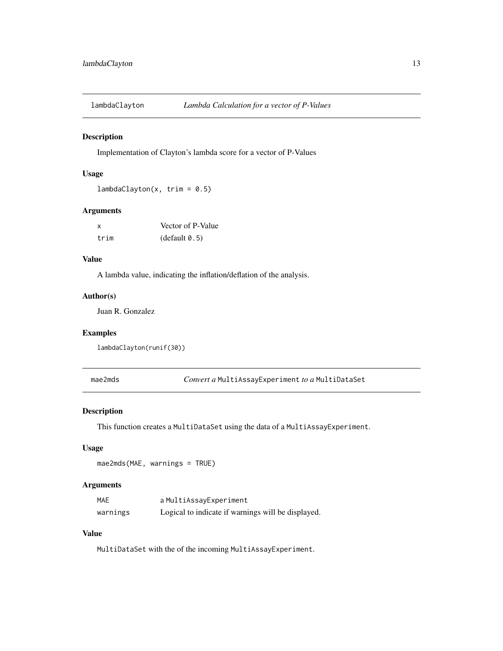<span id="page-12-0"></span>

Implementation of Clayton's lambda score for a vector of P-Values

#### Usage

 $lambdaClayton(x, trim = 0.5)$ 

# Arguments

| x    | Vector of P-Value |
|------|-------------------|
| trim | (default 0.5)     |

# Value

A lambda value, indicating the inflation/deflation of the analysis.

# Author(s)

Juan R. Gonzalez

# Examples

```
lambdaClayton(runif(30))
```
mae2mds *Convert a* MultiAssayExperiment *to a* MultiDataSet

# Description

This function creates a MultiDataSet using the data of a MultiAssayExperiment.

# Usage

```
mae2mds(MAE, warnings = TRUE)
```
## Arguments

| MAE      | aMultiAssayExperiment                              |
|----------|----------------------------------------------------|
| warnings | Logical to indicate if warnings will be displayed. |

# Value

MultiDataSet with the of the incoming MultiAssayExperiment.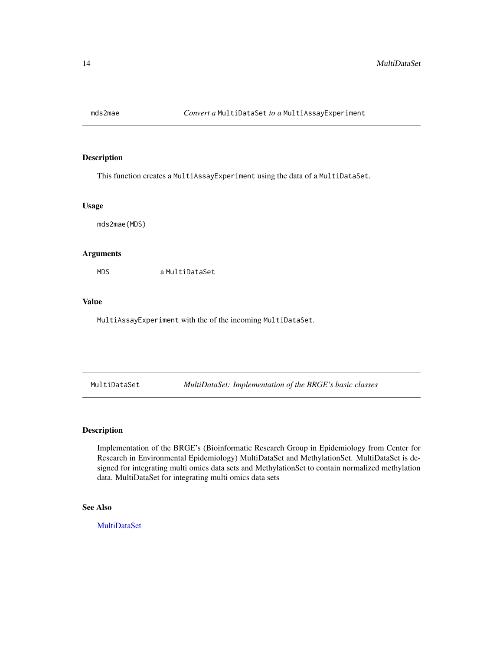<span id="page-13-0"></span>

This function creates a MultiAssayExperiment using the data of a MultiDataSet.

#### Usage

mds2mae(MDS)

#### Arguments

MDS a MultiDataSet

#### Value

MultiAssayExperiment with the of the incoming MultiDataSet.

<span id="page-13-1"></span>MultiDataSet *MultiDataSet: Implementation of the BRGE's basic classes*

#### Description

Implementation of the BRGE's (Bioinformatic Research Group in Epidemiology from Center for Research in Environmental Epidemiology) MultiDataSet and MethylationSet. MultiDataSet is designed for integrating multi omics data sets and MethylationSet to contain normalized methylation data. MultiDataSet for integrating multi omics data sets

# See Also

**[MultiDataSet](#page-14-1)**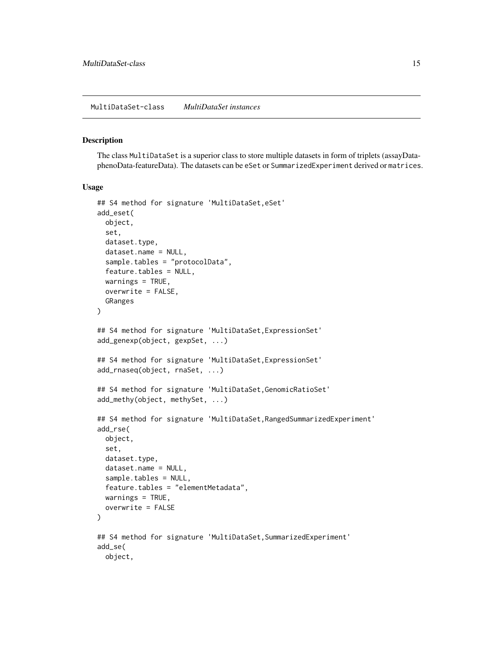<span id="page-14-1"></span><span id="page-14-0"></span>The class MultiDataSet is a superior class to store multiple datasets in form of triplets (assayDataphenoData-featureData). The datasets can be eSet or SummarizedExperiment derived or matrices.

#### Usage

```
## S4 method for signature 'MultiDataSet,eSet'
add_eset(
 object,
  set,
  dataset.type,
  dataset.name = NULL,
  sample.tables = "protocolData",
  feature.tables = NULL,
  warnings = TRUE,
 overwrite = FALSE,
 GRanges
)
## S4 method for signature 'MultiDataSet,ExpressionSet'
add_genexp(object, gexpSet, ...)
## S4 method for signature 'MultiDataSet, ExpressionSet'
add_rnaseq(object, rnaSet, ...)
## S4 method for signature 'MultiDataSet, GenomicRatioSet'
add_methy(object, methySet, ...)
## S4 method for signature 'MultiDataSet, RangedSummarizedExperiment'
add_rse(
 object,
  set,
 dataset.type,
  dataset.name = NULL,
  sample.tables = NULL,
  feature.tables = "elementMetadata",
 warnings = TRUE,
  overwrite = FALSE
)
## S4 method for signature 'MultiDataSet, SummarizedExperiment'
add_se(
 object,
```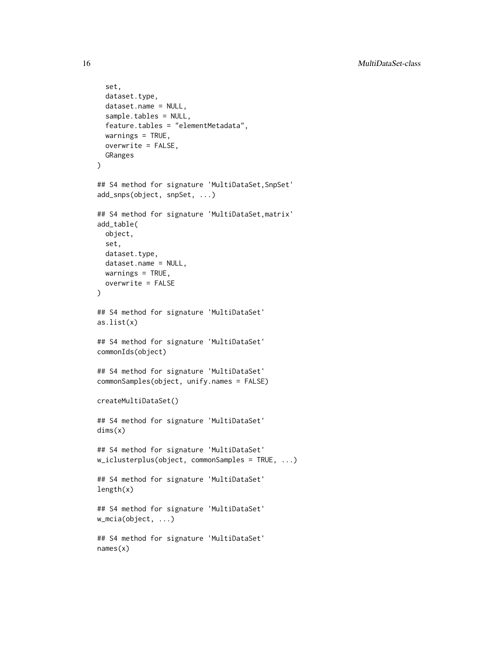```
set,
  dataset.type,
  dataset.name = NULL,
  sample.tables = NULL,
  feature.tables = "elementMetadata",
  warnings = TRUE,
  overwrite = FALSE,
  GRanges
)
## S4 method for signature 'MultiDataSet, SnpSet'
add_snps(object, snpSet, ...)
## S4 method for signature 'MultiDataSet,matrix'
add_table(
  object,
  set,
  dataset.type,
  dataset.name = NULL,
  warnings = TRUE,overwrite = FALSE
\lambda## S4 method for signature 'MultiDataSet'
as.list(x)
## S4 method for signature 'MultiDataSet'
commonIds(object)
## S4 method for signature 'MultiDataSet'
commonSamples(object, unify.names = FALSE)
createMultiDataSet()
## S4 method for signature 'MultiDataSet'
dims(x)
## S4 method for signature 'MultiDataSet'
w_iclusterplus(object, commonSamples = TRUE, ...)
## S4 method for signature 'MultiDataSet'
length(x)
## S4 method for signature 'MultiDataSet'
w_mcia(object, ...)
## S4 method for signature 'MultiDataSet'
names(x)
```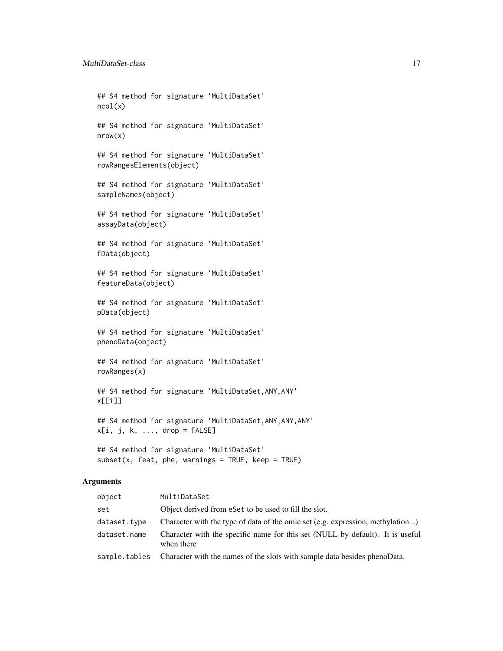## S4 method for signature 'MultiDataSet' ncol(x) ## S4 method for signature 'MultiDataSet' nrow(x) ## S4 method for signature 'MultiDataSet' rowRangesElements(object) ## S4 method for signature 'MultiDataSet' sampleNames(object) ## S4 method for signature 'MultiDataSet' assayData(object) ## S4 method for signature 'MultiDataSet' fData(object) ## S4 method for signature 'MultiDataSet' featureData(object) ## S4 method for signature 'MultiDataSet' pData(object) ## S4 method for signature 'MultiDataSet' phenoData(object) ## S4 method for signature 'MultiDataSet' rowRanges(x)

## S4 method for signature 'MultiDataSet,ANY,ANY' x[[i]]

## S4 method for signature 'MultiDataSet,ANY,ANY,ANY'  $x[i, j, k, \ldots, drop = FALSE]$ 

## S4 method for signature 'MultiDataSet'  $subset(x,$  feat, phe, warnings = TRUE, keep = TRUE)

#### Arguments

| object       | MultiDataSet                                                                                |
|--------------|---------------------------------------------------------------------------------------------|
| set          | Object derived from eset to be used to fill the slot.                                       |
| dataset.type | Character with the type of data of the omic set (e.g. expression, methylation)              |
| dataset.name | Character with the specific name for this set (NULL by default). It is useful<br>when there |
|              | sample. tables Character with the names of the slots with sample data besides phenoData.    |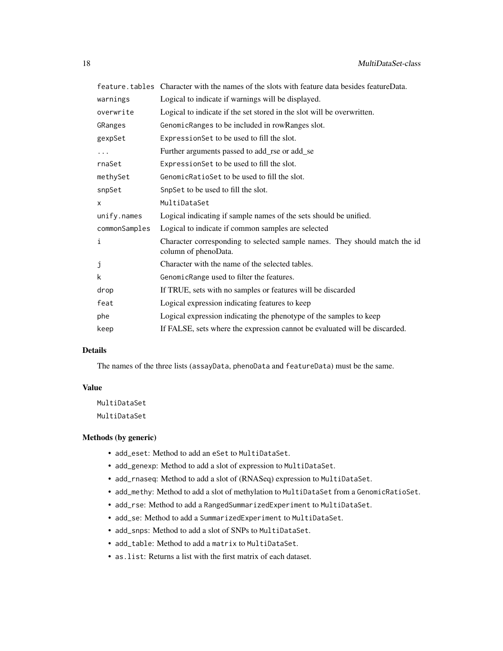|               | feature. tables Character with the names of the slots with feature data besides featureData.       |
|---------------|----------------------------------------------------------------------------------------------------|
| warnings      | Logical to indicate if warnings will be displayed.                                                 |
| overwrite     | Logical to indicate if the set stored in the slot will be overwritten.                             |
| GRanges       | GenomicRanges to be included in rowRanges slot.                                                    |
| gexpSet       | Expression Set to be used to fill the slot.                                                        |
|               | Further arguments passed to add_rse or add_se                                                      |
| rnaSet        | Expression Set to be used to fill the slot.                                                        |
| methySet      | GenomicRatioSet to be used to fill the slot.                                                       |
| snpSet        | SnpSet to be used to fill the slot.                                                                |
| x             | MultiDataSet                                                                                       |
| unify.names   | Logical indicating if sample names of the sets should be unified.                                  |
| commonSamples | Logical to indicate if common samples are selected                                                 |
| i             | Character corresponding to selected sample names. They should match the id<br>column of phenoData. |
| j             | Character with the name of the selected tables.                                                    |
| k             | GenomicRange used to filter the features.                                                          |
| drop          | If TRUE, sets with no samples or features will be discarded                                        |
| feat          | Logical expression indicating features to keep                                                     |
| phe           | Logical expression indicating the phenotype of the samples to keep                                 |
| keep          | If FALSE, sets where the expression cannot be evaluated will be discarded.                         |

#### Details

The names of the three lists (assayData, phenoData and featureData) must be the same.

# Value

MultiDataSet MultiDataSet

#### Methods (by generic)

- add\_eset: Method to add an eSet to MultiDataSet.
- add\_genexp: Method to add a slot of expression to MultiDataSet.
- add\_rnaseq: Method to add a slot of (RNASeq) expression to MultiDataSet.
- add\_methy: Method to add a slot of methylation to MultiDataSet from a GenomicRatioSet.
- add\_rse: Method to add a RangedSummarizedExperiment to MultiDataSet.
- add\_se: Method to add a SummarizedExperiment to MultiDataSet.
- add\_snps: Method to add a slot of SNPs to MultiDataSet.
- add\_table: Method to add a matrix to MultiDataSet.
- as.list: Returns a list with the first matrix of each dataset.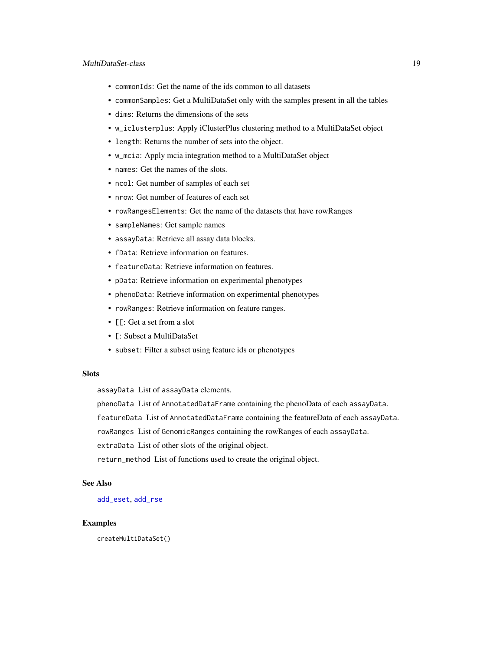#### <span id="page-18-0"></span>MultiDataSet-class 19

- commonIds: Get the name of the ids common to all datasets
- commonSamples: Get a MultiDataSet only with the samples present in all the tables
- dims: Returns the dimensions of the sets
- w\_iclusterplus: Apply iClusterPlus clustering method to a MultiDataSet object
- length: Returns the number of sets into the object.
- w\_mcia: Apply mcia integration method to a MultiDataSet object
- names: Get the names of the slots.
- ncol: Get number of samples of each set
- nrow: Get number of features of each set
- rowRangesElements: Get the name of the datasets that have rowRanges
- sampleNames: Get sample names
- assayData: Retrieve all assay data blocks.
- fData: Retrieve information on features.
- featureData: Retrieve information on features.
- pData: Retrieve information on experimental phenotypes
- phenoData: Retrieve information on experimental phenotypes
- rowRanges: Retrieve information on feature ranges.
- [[: Get a set from a slot
- [: Subset a MultiDataSet
- subset: Filter a subset using feature ids or phenotypes

#### Slots

assayData List of assayData elements.

phenoData List of AnnotatedDataFrame containing the phenoData of each assayData.

featureData List of AnnotatedDataFrame containing the featureData of each assayData.

rowRanges List of GenomicRanges containing the rowRanges of each assayData.

extraData List of other slots of the original object.

return\_method List of functions used to create the original object.

# See Also

[add\\_eset](#page-1-1), [add\\_rse](#page-4-2)

#### Examples

createMultiDataSet()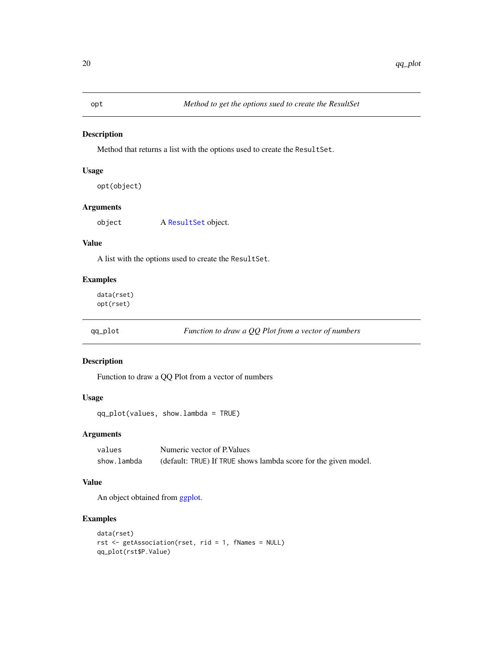<span id="page-19-0"></span>Method that returns a list with the options used to create the ResultSet.

#### Usage

```
opt(object)
```
# Arguments

object A [ResultSet](#page-20-1) object.

#### Value

A list with the options used to create the ResultSet.

# Examples

data(rset) opt(rset)

qq\_plot *Function to draw a QQ Plot from a vector of numbers*

# Description

Function to draw a QQ Plot from a vector of numbers

# Usage

```
qq_plot(values, show.lambda = TRUE)
```
# Arguments

| values      | Numeric vector of P. Values                                     |
|-------------|-----------------------------------------------------------------|
| show.lambda | (default: TRUE) If TRUE shows lambda score for the given model. |

#### Value

An object obtained from [ggplot.](#page-0-0)

```
data(rset)
rst <- getAssociation(rset, rid = 1, fNames = NULL)
qq_plot(rst$P.Value)
```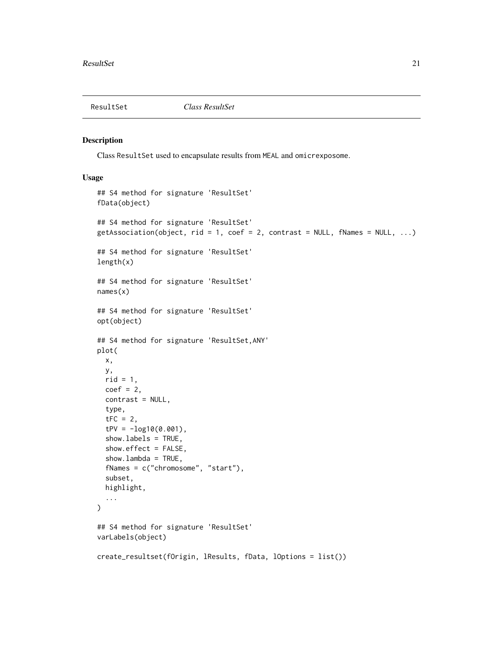<span id="page-20-1"></span><span id="page-20-0"></span>

Class ResultSet used to encapsulate results from MEAL and omicrexposome.

#### Usage

```
## S4 method for signature 'ResultSet'
fData(object)
## S4 method for signature 'ResultSet'
getAssociation(object, rid = 1, coef = 2, contrast = NULL, fNames = NULL, ...)
## S4 method for signature 'ResultSet'
length(x)
## S4 method for signature 'ResultSet'
names(x)
## S4 method for signature 'ResultSet'
opt(object)
## S4 method for signature 'ResultSet,ANY'
plot(
  x,
 y,
  rid = 1,coef = 2,
  contrast = NULL,
  type,
  tFC = 2,
  tPV = -log10(0.001),
  show.labels = TRUE,
  show.effect = FALSE,
  show.lambda = TRUE,
  fNames = c("chromosome", "start"),
  subset,
  highlight,
  ...
\lambda## S4 method for signature 'ResultSet'
varLabels(object)
create_resultset(fOrigin, lResults, fData, lOptions = list())
```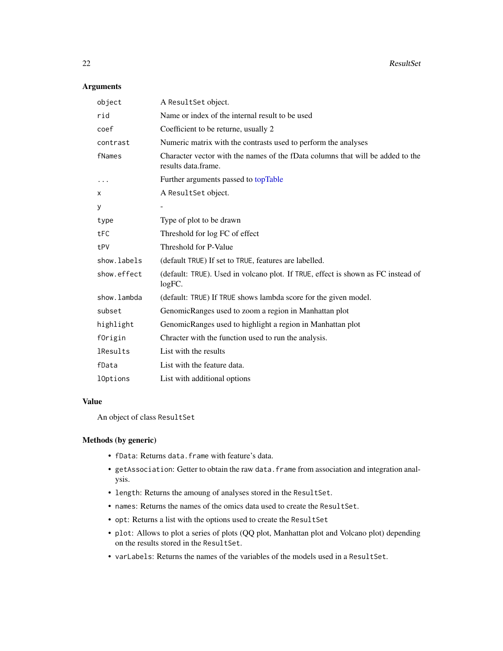# <span id="page-21-0"></span>Arguments

| object          | A ResultSet object.                                                                                   |
|-----------------|-------------------------------------------------------------------------------------------------------|
| rid             | Name or index of the internal result to be used                                                       |
| coef            | Coefficient to be returne, usually 2                                                                  |
| contrast        | Numeric matrix with the contrasts used to perform the analyses                                        |
| fNames          | Character vector with the names of the fData columns that will be added to the<br>results data.frame. |
|                 | Further arguments passed to topTable                                                                  |
| X               | A ResultSet object.                                                                                   |
| У               |                                                                                                       |
| type            | Type of plot to be drawn                                                                              |
| tFC             | Threshold for log FC of effect                                                                        |
| tPV             | Threshold for P-Value                                                                                 |
| show.labels     | (default TRUE) If set to TRUE, features are labelled.                                                 |
| show.effect     | (default: TRUE). Used in volcano plot. If TRUE, effect is shown as FC instead of<br>logFC.            |
| show.lambda     | (default: TRUE) If TRUE shows lambda score for the given model.                                       |
| subset          | GenomicRanges used to zoom a region in Manhattan plot                                                 |
| highlight       | GenomicRanges used to highlight a region in Manhattan plot                                            |
| fOrigin         | Chracter with the function used to run the analysis.                                                  |
| <b>lResults</b> | List with the results                                                                                 |
| fData           | List with the feature data.                                                                           |
| 10ptions        | List with additional options                                                                          |

#### Value

An object of class ResultSet

# Methods (by generic)

- fData: Returns data.frame with feature's data.
- getAssociation: Getter to obtain the raw data.frame from association and integration analysis.
- length: Returns the amoung of analyses stored in the ResultSet.
- names: Returns the names of the omics data used to create the ResultSet.
- opt: Returns a list with the options used to create the ResultSet
- plot: Allows to plot a series of plots (QQ plot, Manhattan plot and Volcano plot) depending on the results stored in the ResultSet.
- varLabels: Returns the names of the variables of the models used in a ResultSet.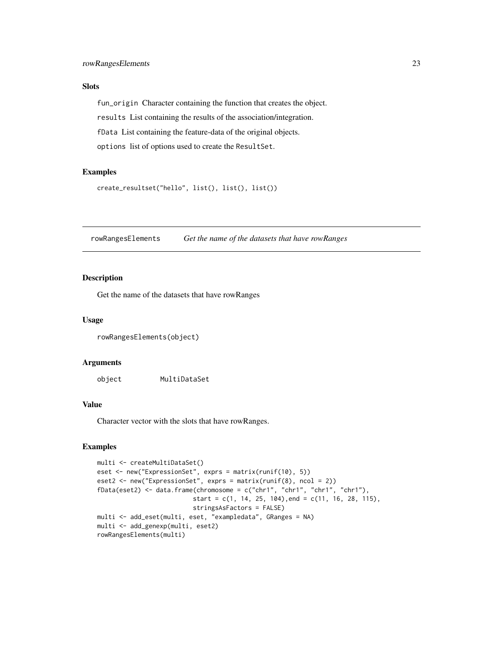# <span id="page-22-0"></span>Slots

fun\_origin Character containing the function that creates the object. results List containing the results of the association/integration. fData List containing the feature-data of the original objects. options list of options used to create the ResultSet.

# Examples

```
create_resultset("hello", list(), list(), list())
```
rowRangesElements *Get the name of the datasets that have rowRanges*

#### Description

Get the name of the datasets that have rowRanges

#### Usage

rowRangesElements(object)

#### Arguments

object MultiDataSet

# Value

Character vector with the slots that have rowRanges.

```
multi <- createMultiDataSet()
eset <- new("ExpressionSet", exprs = matrix(runif(10), 5))
eset2 <- new("ExpressionSet", exprs = matrix(runif(8), ncol = 2))
fData(eset2) <- data.frame(chromosome = c("chr1", "chr1", "chr1", "chr1"),
                          start = c(1, 14, 25, 104), end = c(11, 16, 28, 115),
                          stringsAsFactors = FALSE)
multi <- add_eset(multi, eset, "exampledata", GRanges = NA)
multi <- add_genexp(multi, eset2)
rowRangesElements(multi)
```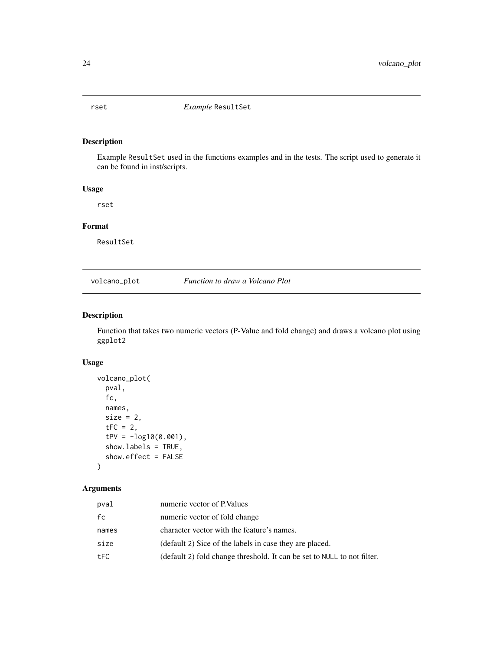<span id="page-23-0"></span>

Example ResultSet used in the functions examples and in the tests. The script used to generate it can be found in inst/scripts.

# Usage

rset

# Format

ResultSet

volcano\_plot *Function to draw a Volcano Plot*

# Description

Function that takes two numeric vectors (P-Value and fold change) and draws a volcano plot using ggplot2

#### Usage

```
volcano_plot(
 pval,
  fc,
  names,
  size = 2,
  tFC = 2,
  tPV = -log10(0.001),
  show.labels = TRUE,
  show.effect = FALSE
)
```
# Arguments

| pval  | numeric vector of P. Values                                             |
|-------|-------------------------------------------------------------------------|
| fc    | numeric vector of fold change                                           |
| names | character vector with the feature's names.                              |
| size  | (default 2) Sice of the labels in case they are placed.                 |
| tFC.  | (default 2) fold change threshold. It can be set to NULL to not filter. |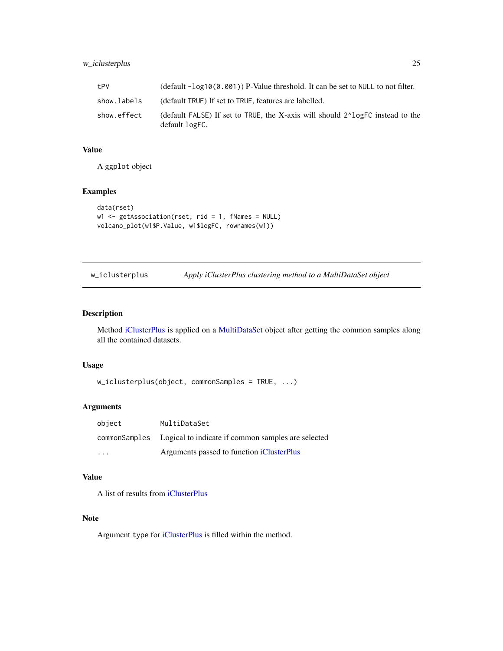# <span id="page-24-0"></span>w\_iclusterplus 25

| tPV         | (default $-\log 10(0.001)$ ) P-Value threshold. It can be set to NULL to not filter.                         |
|-------------|--------------------------------------------------------------------------------------------------------------|
| show.labels | (default TRUE) If set to TRUE, features are labelled.                                                        |
| show.effect | (default FALSE) If set to TRUE, the X-axis will should 2 <sup>1</sup> logFC instead to the<br>default logFC. |

# Value

A ggplot object

# Examples

```
data(rset)
w1 <- getAssociation(rset, rid = 1, fNames = NULL)
volcano_plot(w1$P.Value, w1$logFC, rownames(w1))
```

| w_iclusterplus |  | Apply iClusterPlus clustering method to a MultiDataSet object |
|----------------|--|---------------------------------------------------------------|
|                |  |                                                               |

# Description

Method [iClusterPlus](#page-0-0) is applied on a [MultiDataSet](#page-13-1) object after getting the common samples along all the contained datasets.

# Usage

```
w_iclusterplus(object, commonSamples = TRUE, ...)
```
# Arguments

| object                  | MultiDataSet                                                      |
|-------------------------|-------------------------------------------------------------------|
|                         | common Samples Logical to indicate if common samples are selected |
| $\cdot$ $\cdot$ $\cdot$ | Arguments passed to function iClusterPlus                         |

# Value

A list of results from [iClusterPlus](#page-0-0)

# Note

Argument type for [iClusterPlus](#page-0-0) is filled within the method.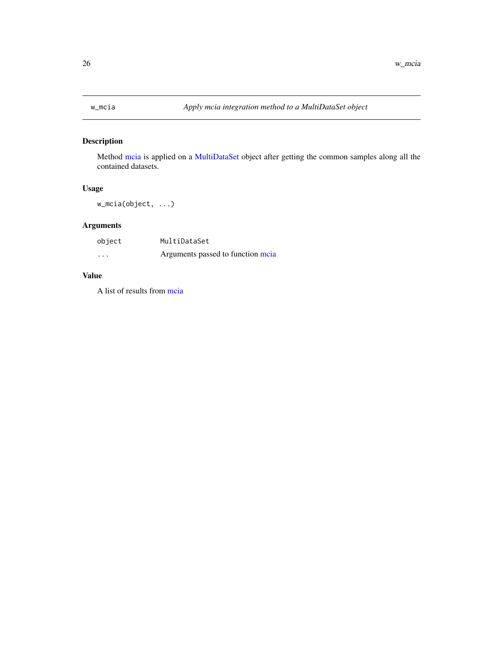<span id="page-25-0"></span>

Method [mcia](#page-0-0) is applied on a [MultiDataSet](#page-13-1) object after getting the common samples along all the contained datasets.

# Usage

w\_mcia(object, ...)

# Arguments

| object   | MultiDataSet                      |
|----------|-----------------------------------|
| $\cdots$ | Arguments passed to function meia |

# Value

A list of results from [mcia](#page-0-0)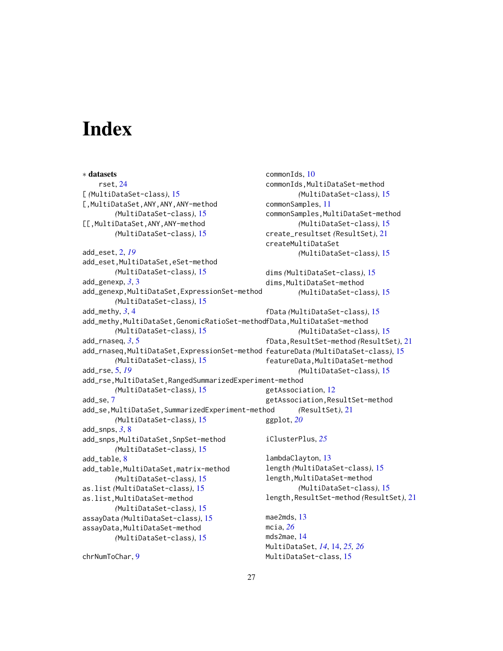# <span id="page-26-0"></span>**Index**

∗ datasets rset, [24](#page-23-0) [ *(*MultiDataSet-class*)*, [15](#page-14-0) [,MultiDataSet,ANY,ANY,ANY-method *(*MultiDataSet-class*)*, [15](#page-14-0) [[,MultiDataSet,ANY,ANY-method *(*MultiDataSet-class*)*, [15](#page-14-0) add\_eset, [2,](#page-1-0) *[19](#page-18-0)* add\_eset, MultiDataSet, eSet-method *(*MultiDataSet-class*)*, [15](#page-14-0) add\_genexp, *[3](#page-2-0)*, [3](#page-2-0) add\_genexp,MultiDataSet,ExpressionSet-method *(*MultiDataSet-class*)*, [15](#page-14-0) add\_methy, *[3](#page-2-0)*, [4](#page-3-0) add\_methy,MultiDataSet,GenomicRatioSet-method fData,MultiDataSet-method *(*MultiDataSet-class*)*, [15](#page-14-0) add  $r$ naseg,  $3, 5$  $3, 5$  $3, 5$ add\_rnaseq,MultiDataSet,ExpressionSet-method featureData *(*MultiDataSet-class*)*, [15](#page-14-0) *(*MultiDataSet-class*)*, [15](#page-14-0) add\_rse, [5,](#page-4-0) *[19](#page-18-0)* add\_rse,MultiDataSet,RangedSummarizedExperiment-method *(*MultiDataSet-class*)*, [15](#page-14-0) add\_se, [7](#page-6-0) add\_se,MultiDataSet,SummarizedExperiment-method *(*MultiDataSet-class*)*, [15](#page-14-0) add\_snps, *[3](#page-2-0)*, [8](#page-7-0) add\_snps,MultiDataSet,SnpSet-method *(*MultiDataSet-class*)*, [15](#page-14-0) add\_table, [8](#page-7-0) add\_table,MultiDataSet,matrix-method *(*MultiDataSet-class*)*, [15](#page-14-0) as.list *(*MultiDataSet-class*)*, [15](#page-14-0) as.list,MultiDataSet-method *(*MultiDataSet-class*)*, [15](#page-14-0) assayData *(*MultiDataSet-class*)*, [15](#page-14-0) assayData,MultiDataSet-method *(*MultiDataSet-class*)*, [15](#page-14-0) commonIds, [10](#page-9-0) commonIds,MultiDataSet-method *(*MultiDataSet-class*)*, [15](#page-14-0) commonSamples, [11](#page-10-0) commonSamples,MultiDataSet-method *(*MultiDataSet-class*)*, [15](#page-14-0) create\_resultset *(*ResultSet*)*, [21](#page-20-0) createMultiDataSet *(*MultiDataSet-class*)*, [15](#page-14-0) dims *(*MultiDataSet-class*)*, [15](#page-14-0) dims,MultiDataSet-method *(*MultiDataSet-class*)*, [15](#page-14-0) fData *(*MultiDataSet-class*)*, [15](#page-14-0) *(*MultiDataSet-class*)*, [15](#page-14-0) fData,ResultSet-method *(*ResultSet*)*, [21](#page-20-0) featureData,MultiDataSet-method *(*MultiDataSet-class*)*, [15](#page-14-0) getAssociation, [12](#page-11-0) getAssociation,ResultSet-method *(*ResultSet*)*, [21](#page-20-0) ggplot, *[20](#page-19-0)* iClusterPlus, *[25](#page-24-0)* lambdaClayton, [13](#page-12-0) length *(*MultiDataSet-class*)*, [15](#page-14-0) length,MultiDataSet-method *(*MultiDataSet-class*)*, [15](#page-14-0) length,ResultSet-method *(*ResultSet*)*, [21](#page-20-0) mae2mds, [13](#page-12-0) mcia, *[26](#page-25-0)* mds2mae, [14](#page-13-0) MultiDataSet, *[14](#page-13-0)*, [14,](#page-13-0) *[25,](#page-24-0) [26](#page-25-0)* MultiDataSet-class, [15](#page-14-0)

chrNumToChar, [9](#page-8-0)